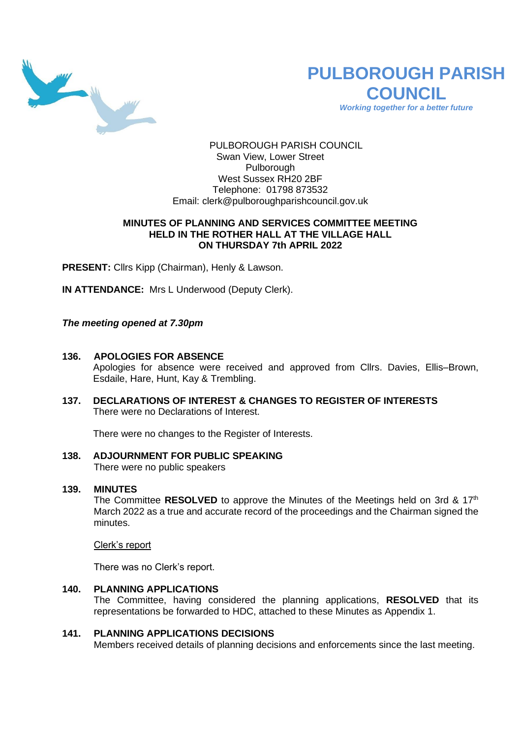

# **PULBOROUGH PARISH COUNCIL** *Working together for a better future*

PULBOROUGH PARISH COUNCIL Swan View, Lower Street Pulborough West Sussex RH20 2BF Telephone: 01798 873532 Email: [clerk@pulboroughparishcouncil.gov.uk](mailto:clerk@pulboroughparishcouncil.gov.uk)

### **MINUTES OF PLANNING AND SERVICES COMMITTEE MEETING HELD IN THE ROTHER HALL AT THE VILLAGE HALL ON THURSDAY 7th APRIL 2022**

**PRESENT:** Cllrs Kipp (Chairman), Henly & Lawson.

**IN ATTENDANCE:** Mrs L Underwood (Deputy Clerk).

### *The meeting opened at 7.30pm*

### **136. APOLOGIES FOR ABSENCE**

Apologies for absence were received and approved from Cllrs. Davies, Ellis–Brown, Esdaile, Hare, Hunt, Kay & Trembling.

**137. DECLARATIONS OF INTEREST & CHANGES TO REGISTER OF INTERESTS** There were no Declarations of Interest.

There were no changes to the Register of Interests.

# **138. ADJOURNMENT FOR PUBLIC SPEAKING**

There were no public speakers

### **139. MINUTES**

The Committee **RESOLVED** to approve the Minutes of the Meetings held on 3rd & 17th March 2022 as a true and accurate record of the proceedings and the Chairman signed the minutes.

Clerk's report

There was no Clerk's report.

### **140. PLANNING APPLICATIONS**

The Committee, having considered the planning applications, **RESOLVED** that its representations be forwarded to HDC, attached to these Minutes as Appendix 1.

#### **141. PLANNING APPLICATIONS DECISIONS**

Members received details of planning decisions and enforcements since the last meeting.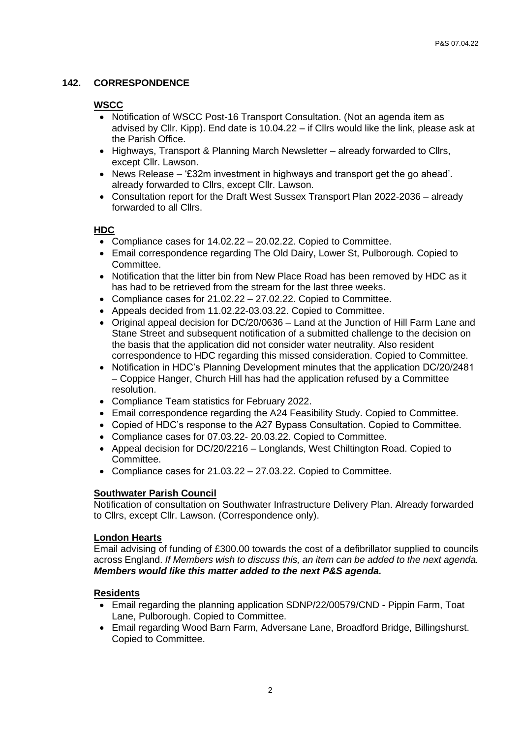# **142. CORRESPONDENCE**

## **WSCC**

- Notification of WSCC Post-16 Transport Consultation. (Not an agenda item as advised by Cllr. Kipp). End date is 10.04.22 – if Cllrs would like the link, please ask at the Parish Office.
- Highways, Transport & Planning March Newsletter already forwarded to Cllrs, except Cllr. Lawson.
- News Release '£32m investment in highways and transport get the go ahead'. already forwarded to Cllrs, except Cllr. Lawson.
- Consultation report for the Draft West Sussex Transport Plan 2022-2036 already forwarded to all Cllrs.

# **HDC**

- Compliance cases for 14.02.22 20.02.22. Copied to Committee.
- Email correspondence regarding The Old Dairy, Lower St, Pulborough. Copied to Committee.
- Notification that the litter bin from New Place Road has been removed by HDC as it has had to be retrieved from the stream for the last three weeks.
- Compliance cases for 21.02.22 27.02.22. Copied to Committee.
- Appeals decided from 11.02.22-03.03.22. Copied to Committee.
- Original appeal decision for DC/20/0636 Land at the Junction of Hill Farm Lane and Stane Street and subsequent notification of a submitted challenge to the decision on the basis that the application did not consider water neutrality. Also resident correspondence to HDC regarding this missed consideration. Copied to Committee.
- Notification in HDC's Planning Development minutes that the application DC/20/2481 – Coppice Hanger, Church Hill has had the application refused by a Committee resolution.
- Compliance Team statistics for February 2022.
- Email correspondence regarding the A24 Feasibility Study. Copied to Committee.
- Copied of HDC's response to the A27 Bypass Consultation. Copied to Committee.
- Compliance cases for 07.03.22- 20.03.22. Copied to Committee.
- Appeal decision for DC/20/2216 Longlands, West Chiltington Road. Copied to Committee.
- Compliance cases for 21.03.22 27.03.22. Copied to Committee.

### **Southwater Parish Council**

Notification of consultation on Southwater Infrastructure Delivery Plan. Already forwarded to Cllrs, except Cllr. Lawson. (Correspondence only).

### **London Hearts**

Email advising of funding of £300.00 towards the cost of a defibrillator supplied to councils across England. *If Members wish to discuss this, an item can be added to the next agenda. Members would like this matter added to the next P&S agenda.*

### **Residents**

- Email regarding the planning application SDNP/22/00579/CND Pippin Farm, Toat Lane, Pulborough. Copied to Committee.
- Email regarding Wood Barn Farm, Adversane Lane, Broadford Bridge, Billingshurst. Copied to Committee.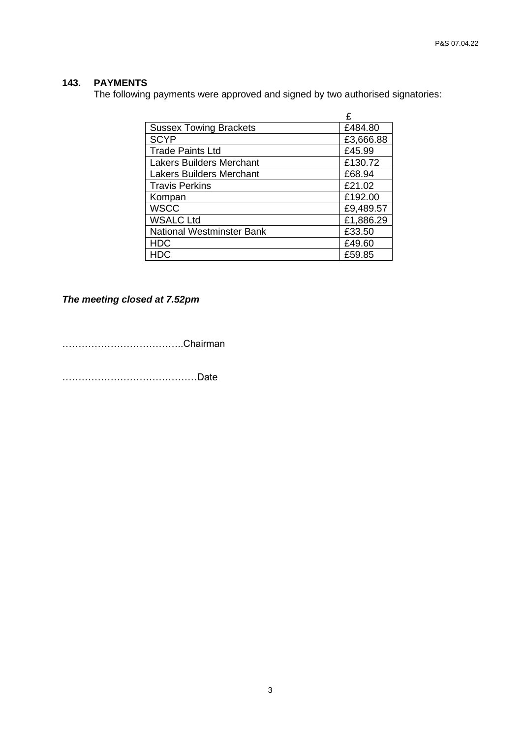# **143. PAYMENTS**

The following payments were approved and signed by two authorised signatories:

|                                  | £         |
|----------------------------------|-----------|
| <b>Sussex Towing Brackets</b>    | £484.80   |
| <b>SCYP</b>                      | £3,666.88 |
| <b>Trade Paints Ltd</b>          | £45.99    |
| <b>Lakers Builders Merchant</b>  | £130.72   |
| <b>Lakers Builders Merchant</b>  | £68.94    |
| <b>Travis Perkins</b>            | £21.02    |
| Kompan                           | £192.00   |
| <b>WSCC</b>                      | £9,489.57 |
| <b>WSALC Ltd</b>                 | £1,886.29 |
| <b>National Westminster Bank</b> | £33.50    |
| <b>HDC</b>                       | £49.60    |
| HDC.                             | £59.85    |

# *The meeting closed at 7.52pm*

………………………………..Chairman

……………………………………Date